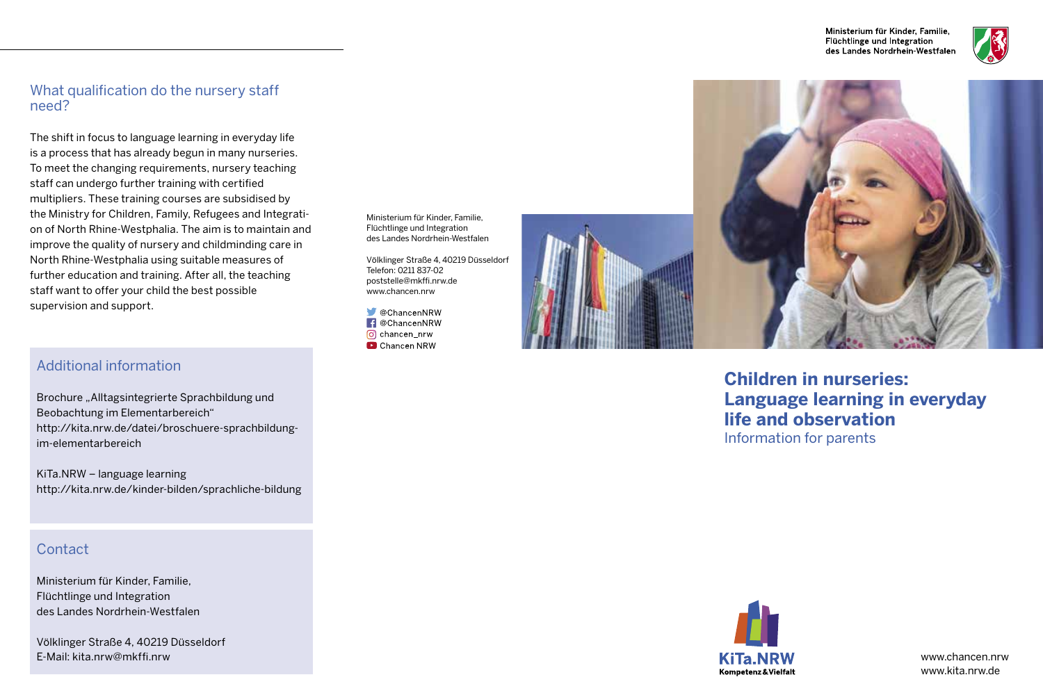Ministerium für Kinder. Familie. Flüchtlinge und Integration des Landes Nordrhein Westfalen



#### What qualification do the nursery staff need?

The shift in focus to language learning in everyday life is a process that has already begun in many nurseries. To meet the changing requirements, nursery teaching staff can undergo further training with certified multipliers. These training courses are subsidised by the Ministry for Children, Family, Refugees and Integration of North Rhine-Westphalia. The aim is to maintain and improve the quality of nursery and childminding care in North Rhine-Westphalia using suitable measures of further education and training. After all, the teaching staff want to offer your child the best possible supervision and support.

# Additional information

Brochure "Alltagsintegrierte Sprachbildung und Beobachtung im Elementarbereich" http://kita.nrw.de/datei/broschuere-sprachbildungim-elementarbereich

KiTa.NRW – language learning http://kita.nrw.de/kinder-bilden/sprachliche-bildung

### **Contact**

Ministerium für Kinder, Familie, Flüchtlinge und Integration des Landes Nordrhein-Westfalen

Völklinger Straße 4, 40219 Düsseldorf E-Mail: kita.nrw@mkffi.nrw

Ministerium für Kinder, Familie, Flüchtlinge und Integration des Landes Nordrhein-Westfalen

Völklinger Straße 4, 40219 Düsseldorf Telefon: 0211 837-02 poststelle@mkffi.nrw.de www.chancen.nrw

 $\bigcirc$  @ChancenNRW **f** @ChancenNRW o chancen nrw Chancen NRW





**Children in nurseries: Language learning in everyday life and observation** Information for parents



www.kita.nrw.de www.chancen.nrw